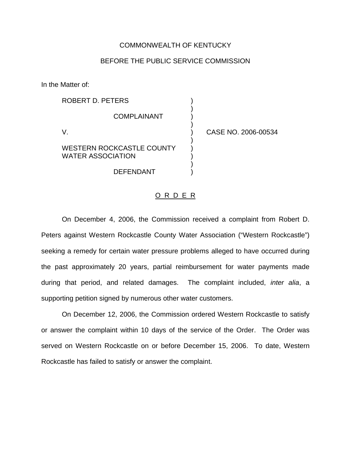## COMMONWEALTH OF KENTUCKY

## BEFORE THE PUBLIC SERVICE COMMISSION

In the Matter of:

| ROBERT D. PETERS                                             |                     |
|--------------------------------------------------------------|---------------------|
| <b>COMPLAINANT</b>                                           |                     |
|                                                              | CASE NO. 2006-00534 |
| <b>WESTERN ROCKCASTLE COUNTY</b><br><b>WATER ASSOCIATION</b> |                     |
| <b>DEFENDANT</b>                                             |                     |

## O R D E R

On December 4, 2006, the Commission received a complaint from Robert D. Peters against Western Rockcastle County Water Association ("Western Rockcastle") seeking a remedy for certain water pressure problems alleged to have occurred during the past approximately 20 years, partial reimbursement for water payments made during that period, and related damages. The complaint included, *inter alia*, a supporting petition signed by numerous other water customers.

On December 12, 2006, the Commission ordered Western Rockcastle to satisfy or answer the complaint within 10 days of the service of the Order. The Order was served on Western Rockcastle on or before December 15, 2006. To date, Western Rockcastle has failed to satisfy or answer the complaint.